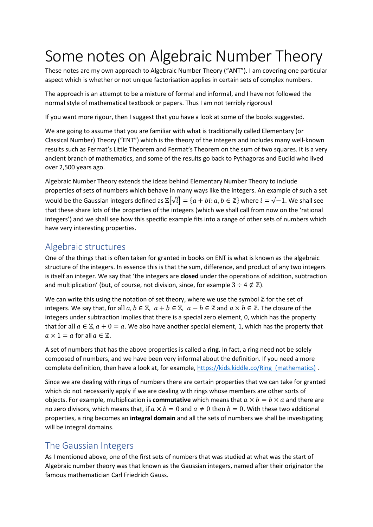# Some notes on Algebraic Number Theory

These notes are my own approach to Algebraic Number Theory ("ANT"). I am covering one particular aspect which is whether or not unique factorisation applies in certain sets of complex numbers.

The approach is an attempt to be a mixture of formal and informal, and I have not followed the normal style of mathematical textbook or papers. Thus I am not terribly rigorous!

If you want more rigour, then I suggest that you have a look at some of the books suggested.

We are going to assume that you are familiar with what is traditionally called Elementary (or Classical Number) Theory ("ENT") which is the theory of the integers and includes many well-known results such as Fermat's Little Theorem and Fermat's Theorem on the sum of two squares. It is a very ancient branch of mathematics, and some of the results go back to Pythagoras and Euclid who lived over 2,500 years ago.

Algebraic Number Theory extends the ideas behind Elementary Number Theory to include properties of sets of numbers which behave in many ways like the integers. An example of such a set would be the Gaussian integers defined as  $\mathbb{Z}[\sqrt{i}] = \{a + bi : a, b \in \mathbb{Z}\}\$  where  $i = \sqrt{-1}$ . We shall see that these share lots of the properties of the integers (which we shall call from now on the 'rational integers') and we shall see how this specific example fits into a range of other sets of numbers which have very interesting properties.

## Algebraic structures

One of the things that is often taken for granted in books on ENT is what is known as the algebraic structure of the integers. In essence this is that the sum, difference, and product of any two integers is itself an integer. We say that 'the integers are closed under the operations of addition, subtraction and multiplication' (but, of course, not division, since, for example  $3 \div 4 \notin \mathbb{Z}$ ).

We can write this using the notation of set theory, where we use the symbol ℤ for the set of integers. We say that, for all  $a, b \in \mathbb{Z}$ ,  $a + b \in \mathbb{Z}$ ,  $a - b \in \mathbb{Z}$  and  $a \times b \in \mathbb{Z}$ . The closure of the integers under subtraction implies that there is a special zero element, 0, which has the property that for all  $a \in \mathbb{Z}$ ,  $a + 0 = a$ . We also have another special element, 1, which has the property that  $a \times 1 = a$  for all  $a \in \mathbb{Z}$ .

A set of numbers that has the above properties is called a ring. In fact, a ring need not be solely composed of numbers, and we have been very informal about the definition. If you need a more complete definition, then have a look at, for example, https://kids.kiddle.co/Ring (mathematics) .

Since we are dealing with rings of numbers there are certain properties that we can take for granted which do not necessarily apply if we are dealing with rings whose members are other sorts of objects. For example, multiplication is **commutative** which means that  $a \times b = b \times a$  and there are no zero divisors, which means that, if  $a \times b = 0$  and  $a \neq 0$  then  $b = 0$ . With these two additional properties, a ring becomes an integral domain and all the sets of numbers we shall be investigating will be integral domains.

## The Gaussian Integers

As I mentioned above, one of the first sets of numbers that was studied at what was the start of Algebraic number theory was that known as the Gaussian integers, named after their originator the famous mathematician Carl Friedrich Gauss.